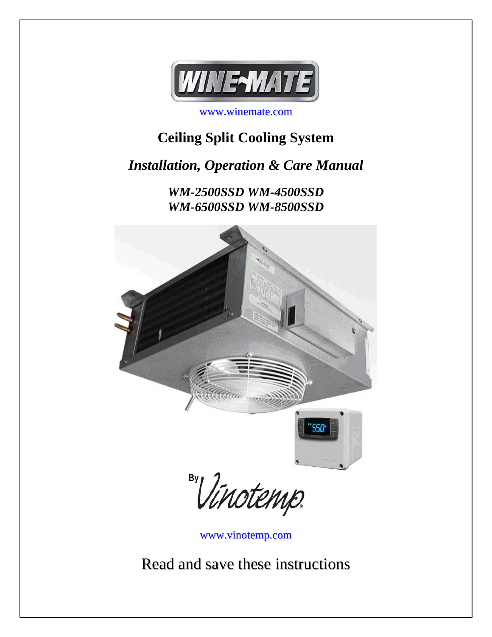

www.winemate.com

# **Ceiling Split Cooling System**

*Installation, Operation & Care Manual*

*WM-2500SSD WM-4500SSD WM-6500SSD WM-8500SSD* 



By Vinotemp.

www.vinotemp.com

Read and save these instructions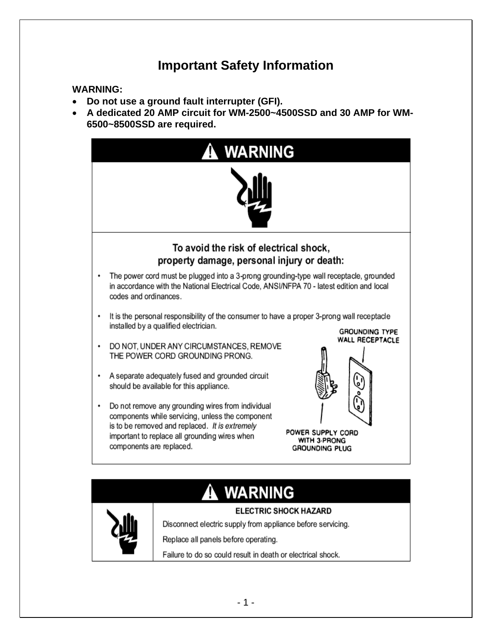# **Important Safety Information**

#### **WARNING:**

- **Do not use a ground fault interrupter (GFI).**
- **A dedicated 20 AMP circuit for WM-2500~4500SSD and 30 AMP for WM-6500~8500SSD are required.**



# **ELECTRIC SHOCK HAZARD**



Disconnect electric supply from appliance before servicing.

Replace all panels before operating.

Failure to do so could result in death or electrical shock.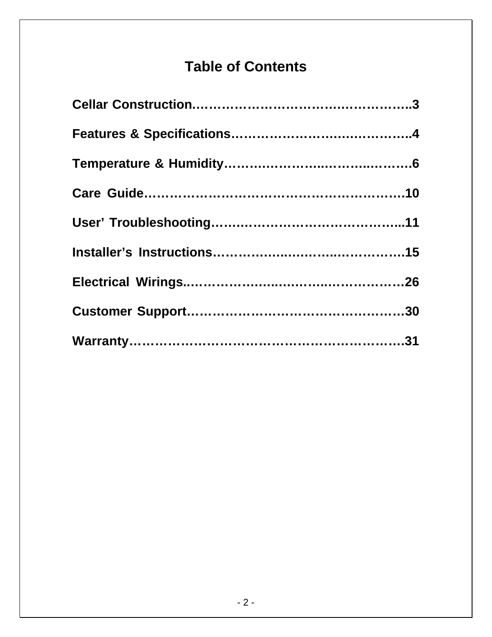# **Table of Contents**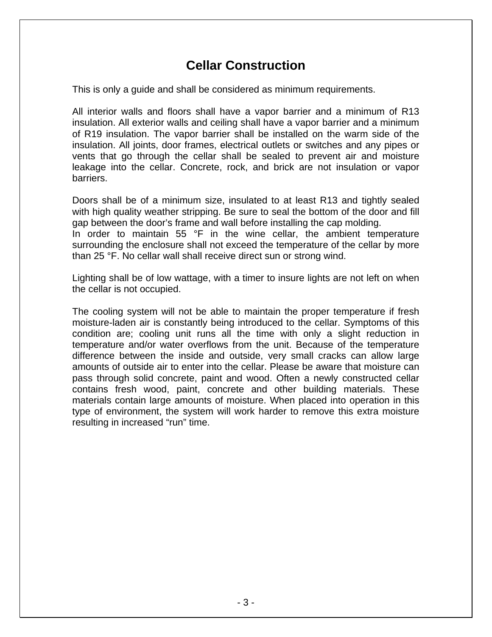# **Cellar Construction**

This is only a guide and shall be considered as minimum requirements.

All interior walls and floors shall have a vapor barrier and a minimum of R13 insulation. All exterior walls and ceiling shall have a vapor barrier and a minimum of R19 insulation. The vapor barrier shall be installed on the warm side of the insulation. All joints, door frames, electrical outlets or switches and any pipes or vents that go through the cellar shall be sealed to prevent air and moisture leakage into the cellar. Concrete, rock, and brick are not insulation or vapor barriers.

Doors shall be of a minimum size, insulated to at least R13 and tightly sealed with high quality weather stripping. Be sure to seal the bottom of the door and fill gap between the door's frame and wall before installing the cap molding. In order to maintain 55 °F in the wine cellar, the ambient temperature surrounding the enclosure shall not exceed the temperature of the cellar by more than 25 °F. No cellar wall shall receive direct sun or strong wind.

Lighting shall be of low wattage, with a timer to insure lights are not left on when the cellar is not occupied.

The cooling system will not be able to maintain the proper temperature if fresh moisture-laden air is constantly being introduced to the cellar. Symptoms of this condition are; cooling unit runs all the time with only a slight reduction in temperature and/or water overflows from the unit. Because of the temperature difference between the inside and outside, very small cracks can allow large amounts of outside air to enter into the cellar. Please be aware that moisture can pass through solid concrete, paint and wood. Often a newly constructed cellar contains fresh wood, paint, concrete and other building materials. These materials contain large amounts of moisture. When placed into operation in this type of environment, the system will work harder to remove this extra moisture resulting in increased "run" time.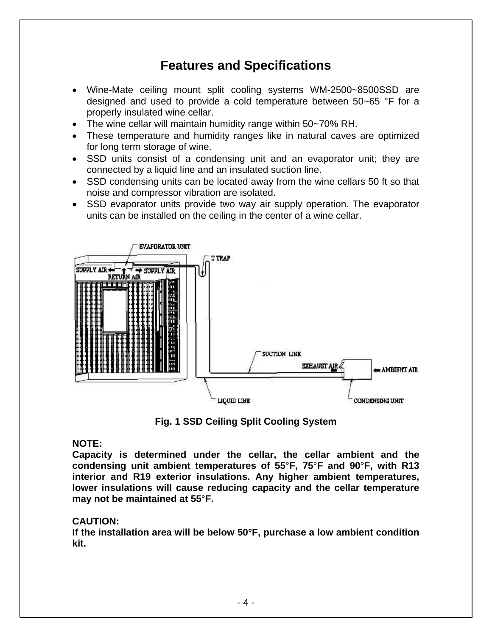# **Features and Specifications**

- Wine-Mate ceiling mount split cooling systems WM-2500~8500SSD are designed and used to provide a cold temperature between 50~65 °F for a properly insulated wine cellar.
- The wine cellar will maintain humidity range within 50~70% RH.
- These temperature and humidity ranges like in natural caves are optimized for long term storage of wine.
- SSD units consist of a condensing unit and an evaporator unit; they are connected by a liquid line and an insulated suction line.
- SSD condensing units can be located away from the wine cellars 50 ft so that noise and compressor vibration are isolated.
- SSD evaporator units provide two way air supply operation. The evaporator units can be installed on the ceiling in the center of a wine cellar.



**Fig. 1 SSD Ceiling Split Cooling System** 

#### **NOTE:**

**Capacity is determined under the cellar, the cellar ambient and the condensing unit ambient temperatures of 55**°**F, 75**°**F and 90**°**F, with R13 interior and R19 exterior insulations. Any higher ambient temperatures, lower insulations will cause reducing capacity and the cellar temperature may not be maintained at 55**°**F.** 

#### **CAUTION:**

**If the installation area will be below 50°F, purchase a low ambient condition kit.**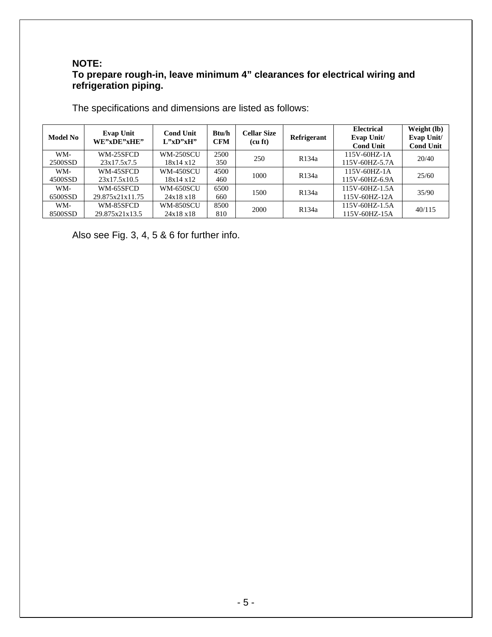#### **NOTE: To prepare rough-in, leave minimum 4" clearances for electrical wiring and refrigeration piping.**

| <b>Model No</b> | <b>Evap Unit</b><br>WE"xDE"xHE" | <b>Cond Unit</b><br>L''xD''xH'' | Btu/h<br><b>CFM</b> | <b>Cellar Size</b><br>(cu ft) | Refrigerant        | <b>Electrical</b><br>Evap Unit/<br><b>Cond Unit</b> | Weight (lb)<br>Evap Unit/<br><b>Cond Unit</b> |
|-----------------|---------------------------------|---------------------------------|---------------------|-------------------------------|--------------------|-----------------------------------------------------|-----------------------------------------------|
| WM-             | WM-25SFCD                       | <b>WM-250SCU</b>                | 2500                | 250                           | R <sub>134</sub> a | $115V - 60HZ - 1A$                                  | 20/40                                         |
| 2500SSD         | 23x17.5x7.5                     | 18x14x12                        | 350                 |                               |                    | 115V-60HZ-5.7A                                      |                                               |
| WM-             | WM-45SFCD                       | <b>WM-450SCU</b>                | 4500                | 1000                          | R <sub>134</sub> a | $115V - 60HZ - 1A$                                  | 25/60                                         |
| 4500SSD         | 23x17.5x10.5                    | 18x14x12                        | 460                 |                               |                    | 115V-60HZ-6.9A                                      |                                               |
| WM-             | WM-65SFCD                       | <b>WM-650SCU</b>                | 6500                | 1500                          |                    | 115V-60HZ-1.5A                                      |                                               |
| 6500SSD         | 29.875x21x11.75                 | 24x18x18                        | 660                 |                               | R <sub>134</sub> a | 115V-60HZ-12A                                       | 35/90                                         |
| WM-             | WM-85SFCD                       | <b>WM-850SCU</b>                | 8500                | 2000                          | R <sub>134</sub> a | 115V-60HZ-1.5A                                      | 40/115                                        |
| 8500SSD         | 29.875x21x13.5                  | 24x18x18                        | 810                 |                               |                    | 115V-60HZ-15A                                       |                                               |

The specifications and dimensions are listed as follows:

Also see Fig. 3, 4, 5 & 6 for further info.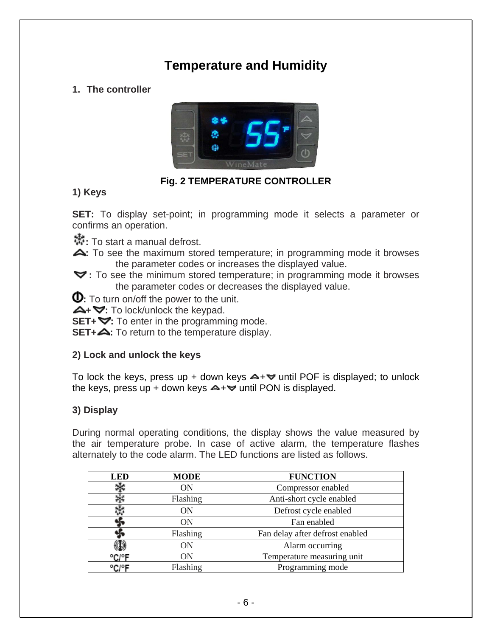# **Temperature and Humidity**

# **1. The controller**



# **Fig. 2 TEMPERATURE CONTROLLER**

### **1) Keys**

**SET:** To display set-point; in programming mode it selects a parameter or confirms an operation.

**:** To start a manual defrost.

- **:** To see the maximum stored temperature; in programming mode it browses the parameter codes or increases the displayed value.
- **:** To see the minimum stored temperature; in programming mode it browses the parameter codes or decreases the displayed value.

**0**: To turn on/off the power to the unit.

**+ :** To lock/unlock the keypad.

**SET+**  $\blacktriangledown$ : To enter in the programming mode.

**SET+4:** To return to the temperature display.

### **2) Lock and unlock the keys**

To lock the keys, press up + down keys  $\blacktriangle + \blacktriangledown$  until POF is displayed; to unlock the keys, press up + down keys  $\rightarrow +\infty$  until PON is displayed.

# **3) Display**

During normal operating conditions, the display shows the value measured by the air temperature probe. In case of active alarm, the temperature flashes alternately to the code alarm. The LED functions are listed as follows.

| <b>LED</b> | <b>MODE</b> | <b>FUNCTION</b>                 |
|------------|-------------|---------------------------------|
|            | ΟN          | Compressor enabled              |
|            | Flashing    | Anti-short cycle enabled        |
|            | ΟN          | Defrost cycle enabled           |
|            | ON          | Fan enabled                     |
|            | Flashing    | Fan delay after defrost enabled |
|            | <b>ON</b>   | Alarm occurring                 |
| °C/°F      | ON          | Temperature measuring unit      |
| ⊒∘0∩∘      | Flashing    | Programming mode                |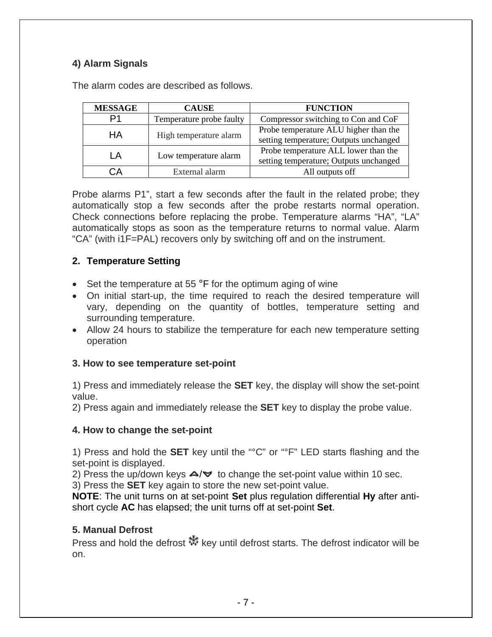# **4) Alarm Signals**

| <b>MESSAGE</b> | <b>CAUSE</b>             | <b>FUNCTION</b>                        |
|----------------|--------------------------|----------------------------------------|
| D1             | Temperature probe faulty | Compressor switching to Con and CoF    |
| HА             | High temperature alarm   | Probe temperature ALU higher than the  |
|                |                          | setting temperature; Outputs unchanged |
| ΙA             | Low temperature alarm    | Probe temperature ALL lower than the   |
|                |                          | setting temperature; Outputs unchanged |
| `А             | External alarm           | All outputs off                        |

The alarm codes are described as follows.

Probe alarms P1", start a few seconds after the fault in the related probe; they automatically stop a few seconds after the probe restarts normal operation. Check connections before replacing the probe. Temperature alarms "HA", "LA" automatically stops as soon as the temperature returns to normal value. Alarm "CA" (with i1F=PAL) recovers only by switching off and on the instrument.

### **2. Temperature Setting**

- Set the temperature at 55 °F for the optimum aging of wine
- On initial start-up, the time required to reach the desired temperature will vary, depending on the quantity of bottles, temperature setting and surrounding temperature.
- Allow 24 hours to stabilize the temperature for each new temperature setting operation

#### **3. How to see temperature set-point**

1) Press and immediately release the **SET** key, the display will show the set-point value.

2) Press again and immediately release the **SET** key to display the probe value.

#### **4. How to change the set-point**

1) Press and hold the **SET** key until the "°C" or "°F" LED starts flashing and the set-point is displayed.

2) Press the up/down keys  $\triangle / \triangledown$  to change the set-point value within 10 sec.

3) Press the **SET** key again to store the new set-point value.

**NOTE**: The unit turns on at set-point **Set** plus regulation differential **Hy** after antishort cycle **AC** has elapsed; the unit turns off at set-point **Set**.

### **5. Manual Defrost**

Press and hold the defrost  $\mathbb{R}^k$  key until defrost starts. The defrost indicator will be on.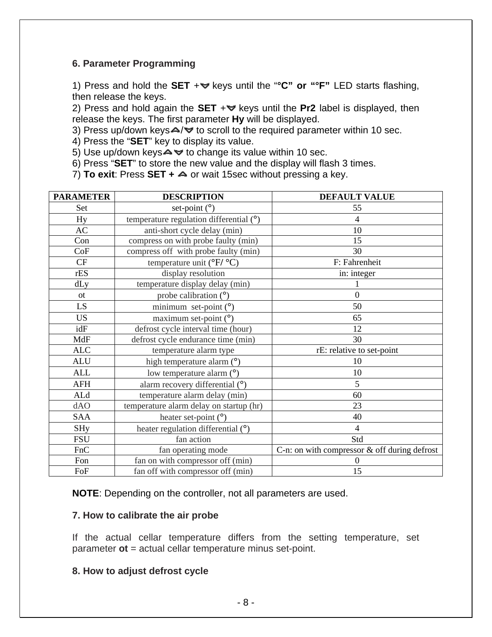#### **6. Parameter Programming**

1) Press and hold the **SET** + veys until the "°C" or "°F" LED starts flashing, then release the keys.

2) Press and hold again the **SET**  $+\vee$  keys until the **Pr2** label is displayed, then release the keys. The first parameter **Hy** will be displayed.

3) Press up/down keys $\triangle$ / $\triangledown$  to scroll to the required parameter within 10 sec.

4) Press the "**SET**" key to display its value.

5) Use up/down keys  $\blacktriangle \blacktriangledown$  to change its value within 10 sec.

6) Press "**SET**" to store the new value and the display will flash 3 times.

7) **To exit:** Press **SET + △** or wait 15sec without pressing a key.

| <b>PARAMETER</b> | <b>DESCRIPTION</b>                             | <b>DEFAULT VALUE</b>                           |
|------------------|------------------------------------------------|------------------------------------------------|
| Set              | set-point $(^\circ)$                           | 55                                             |
| Hy               | temperature regulation differential $(°)$      | 4                                              |
| AC               | anti-short cycle delay (min)                   | 10                                             |
| Con              | compress on with probe faulty (min)            | 15                                             |
| CoF              | compress off with probe faulty (min)           | 30                                             |
| CF               | temperature unit ( ${}^{\circ}F/{}^{\circ}C$ ) | F: Fahrenheit                                  |
| rES              | display resolution                             | in: integer                                    |
| dLy              | temperature display delay (min)                |                                                |
| <b>ot</b>        | probe calibration $(°)$                        | $\theta$                                       |
| LS.              | minimum set-point $(°)$                        | 50                                             |
| <b>US</b>        | maximum set-point $(°)$                        | 65                                             |
| idF              | defrost cycle interval time (hour)             | 12                                             |
| MdF              | defrost cycle endurance time (min)             | 30                                             |
| <b>ALC</b>       | temperature alarm type                         | rE: relative to set-point                      |
| <b>ALU</b>       | high temperature alarm (°)                     | 10                                             |
| <b>ALL</b>       | low temperature alarm (°)                      | 10                                             |
| <b>AFH</b>       | alarm recovery differential (°)                | 5                                              |
| ALd              | temperature alarm delay (min)                  | 60                                             |
| dAO              | temperature alarm delay on startup (hr)        | 23                                             |
| SAA              | heater set-point $(°)$                         | 40                                             |
| <b>SHy</b>       | heater regulation differential (°)             | $\overline{4}$                                 |
| <b>FSU</b>       | fan action                                     | Std                                            |
| FnC              | fan operating mode                             | C-n: on with compressor $&$ off during defrost |
| Fon              | fan on with compressor off (min)               | $\theta$                                       |
| FoF              | fan off with compressor off (min)              | 15                                             |

**NOTE**: Depending on the controller, not all parameters are used.

#### **7. How to calibrate the air probe**

If the actual cellar temperature differs from the setting temperature, set parameter **ot** = actual cellar temperature minus set-point.

#### **8. How to adjust defrost cycle**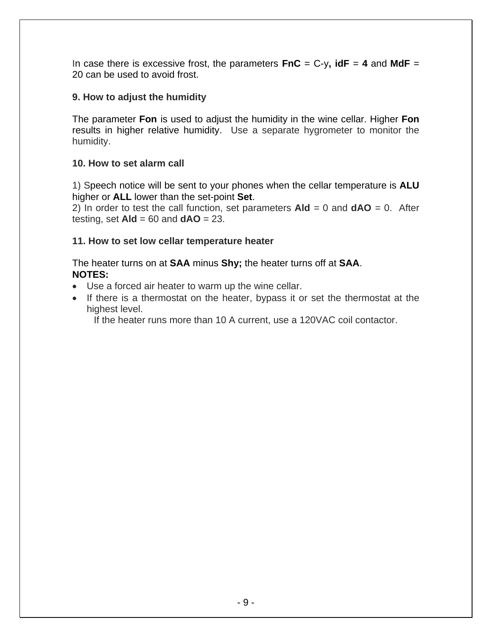In case there is excessive frost, the parameters  $\mathbf{FnC} = C-y$ ,  $\mathbf{idF} = 4$  and  $\mathbf{MdF} =$ 20 can be used to avoid frost.

#### **9. How to adjust the humidity**

The parameter **Fon** is used to adjust the humidity in the wine cellar. Higher **Fon**  results in higher relative humidity. Use a separate hygrometer to monitor the humidity.

#### **10. How to set alarm call**

1) Speech notice will be sent to your phones when the cellar temperature is **ALU** higher or **ALL** lower than the set-point **Set**.

2) In order to test the call function, set parameters  $A \cdot d = 0$  and  $dA O = 0$ . After testing, set **Ald** = 60 and **dAO** = 23.

#### **11. How to set low cellar temperature heater**

The heater turns on at **SAA** minus **Shy;** the heater turns off at **SAA**. **NOTES:** 

- Use a forced air heater to warm up the wine cellar.
- If there is a thermostat on the heater, bypass it or set the thermostat at the highest level.

If the heater runs more than 10 A current, use a 120VAC coil contactor.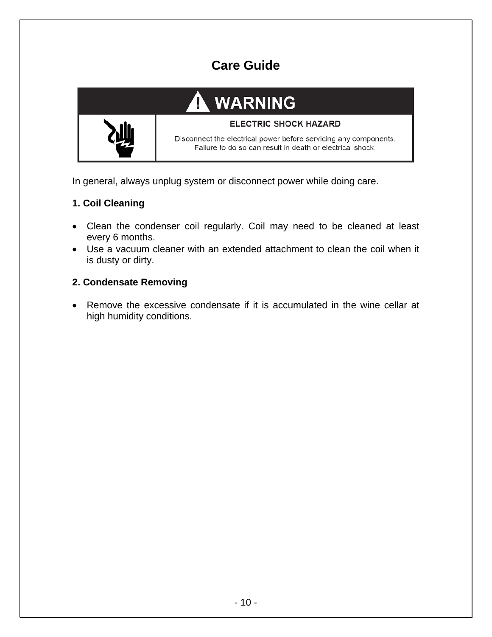# **Care Guide**



#### **ELECTRIC SHOCK HAZARD**

Disconnect the electrical power before servicing any components. Failure to do so can result in death or electrical shock.

In general, always unplug system or disconnect power while doing care.

## **1. Coil Cleaning**

- Clean the condenser coil regularly. Coil may need to be cleaned at least every 6 months.
- Use a vacuum cleaner with an extended attachment to clean the coil when it is dusty or dirty.

## **2. Condensate Removing**

• Remove the excessive condensate if it is accumulated in the wine cellar at high humidity conditions.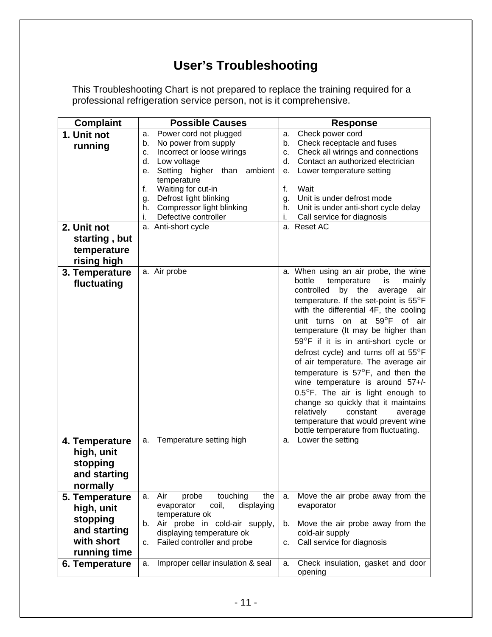# **User's Troubleshooting**

This Troubleshooting Chart is not prepared to replace the training required for a professional refrigeration service person, not is it comprehensive.

| <b>Complaint</b> | <b>Possible Causes</b>                              | <b>Response</b>                                  |
|------------------|-----------------------------------------------------|--------------------------------------------------|
| 1. Unit not      | Power cord not plugged<br>a.                        | Check power cord<br>а.                           |
| running          | No power from supply<br>b.                          | Check receptacle and fuses<br>b.                 |
|                  | Incorrect or loose wirings<br>c.                    | Check all wirings and connections<br>c.          |
|                  | Low voltage<br>d.                                   | Contact an authorized electrician<br>d.          |
|                  | Setting higher than<br>ambient<br>е.                | Lower temperature setting<br>е.                  |
|                  | temperature<br>f.<br>Waiting for cut-in             | f.<br>Wait                                       |
|                  | Defrost light blinking                              | Unit is under defrost mode                       |
|                  | g.<br>Compressor light blinking<br>h.               | g.<br>Unit is under anti-short cycle delay<br>h. |
|                  | Defective controller<br>i.                          | Call service for diagnosis<br>i.                 |
| 2. Unit not      | a. Anti-short cycle                                 | a. Reset AC                                      |
|                  |                                                     |                                                  |
| starting, but    |                                                     |                                                  |
| temperature      |                                                     |                                                  |
| rising high      |                                                     |                                                  |
| 3. Temperature   | a. Air probe                                        | a. When using an air probe, the wine             |
| fluctuating      |                                                     | bottle<br>temperature<br>mainly<br>is            |
|                  |                                                     | controlled<br>by<br>the<br>average<br>air        |
|                  |                                                     | temperature. If the set-point is $55^{\circ}$ F  |
|                  |                                                     | with the differential 4F, the cooling            |
|                  |                                                     | unit turns on at $59^{\circ}$ F<br>of air        |
|                  |                                                     | temperature (It may be higher than               |
|                  |                                                     | 59°F if it is in anti-short cycle or             |
|                  |                                                     | defrost cycle) and turns off at 55°F             |
|                  |                                                     | of air temperature. The average air              |
|                  |                                                     | temperature is $57^{\circ}$ F, and then the      |
|                  |                                                     | wine temperature is around 57+/-                 |
|                  |                                                     | 0.5°F. The air is light enough to                |
|                  |                                                     | change so quickly that it maintains              |
|                  |                                                     | relatively<br>constant<br>average                |
|                  |                                                     | temperature that would prevent wine              |
|                  |                                                     | bottle temperature from fluctuating.             |
| 4. Temperature   | Temperature setting high<br>a.                      | Lower the setting<br>а.                          |
| high, unit       |                                                     |                                                  |
| stopping         |                                                     |                                                  |
| and starting     |                                                     |                                                  |
|                  |                                                     |                                                  |
| normally         |                                                     |                                                  |
| 5. Temperature   | Air<br>touching<br>the<br>probe<br>a.               | Move the air probe away from the<br>a.           |
| high, unit       | coil,<br>displaying<br>evaporator<br>temperature ok | evaporator                                       |
| stopping         | Air probe in cold-air supply,<br>b.                 | Move the air probe away from the<br>b.           |
| and starting     | displaying temperature ok                           | cold-air supply                                  |
| with short       | Failed controller and probe<br>c.                   | Call service for diagnosis<br>c.                 |
| running time     |                                                     |                                                  |
| 6. Temperature   | Improper cellar insulation & seal<br>a.             | Check insulation, gasket and door<br>a.          |
|                  |                                                     | opening                                          |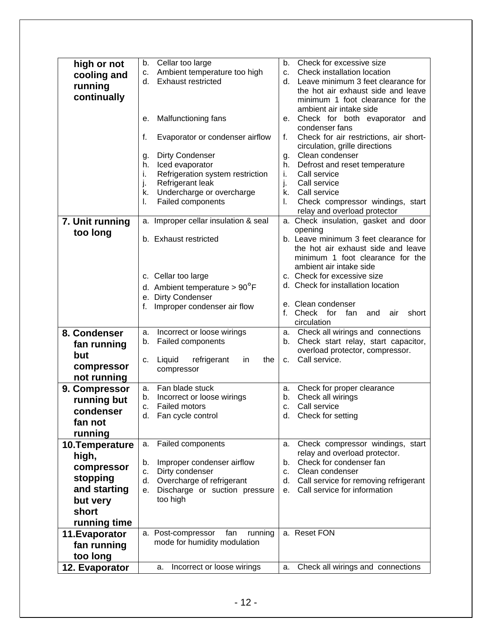|                 | Cellar too large<br>b.                   | Check for excessive size<br>b.               |
|-----------------|------------------------------------------|----------------------------------------------|
| high or not     | Ambient temperature too high<br>c.       | Check installation location<br>C.            |
| cooling and     |                                          |                                              |
| running         | <b>Exhaust restricted</b><br>d.          | Leave minimum 3 feet clearance for<br>d.     |
| continually     |                                          | the hot air exhaust side and leave           |
|                 |                                          | minimum 1 foot clearance for the             |
|                 |                                          | ambient air intake side                      |
|                 | Malfunctioning fans<br>е.                | Check for both evaporator and<br>е.          |
|                 |                                          | condenser fans                               |
|                 | f.<br>Evaporator or condenser airflow    | Check for air restrictions, air short-<br>f. |
|                 |                                          | circulation, grille directions               |
|                 | <b>Dirty Condenser</b><br>g.             | Clean condenser<br>g.                        |
|                 | Iced evaporator<br>h.                    | Defrost and reset temperature<br>h.          |
|                 | Refrigeration system restriction<br>i.   | i.<br>Call service                           |
|                 | j.<br>Refrigerant leak                   | j.<br>Call service                           |
|                 | Undercharge or overcharge<br>k.          | Call service<br>k.                           |
|                 | Failed components<br>I.                  | Check compressor windings, start<br>L.       |
|                 |                                          | relay and overload protector                 |
| 7. Unit running | a. Improper cellar insulation & seal     | a. Check insulation, gasket and door         |
| too long        |                                          | opening                                      |
|                 | b. Exhaust restricted                    | b. Leave minimum 3 feet clearance for        |
|                 |                                          | the hot air exhaust side and leave           |
|                 |                                          | minimum 1 foot clearance for the             |
|                 |                                          | ambient air intake side                      |
|                 | c. Cellar too large                      | c. Check for excessive size                  |
|                 | d. Ambient temperature $> 90^{\circ}$ F  | d. Check for installation location           |
|                 |                                          |                                              |
|                 | e. Dirty Condenser                       | e. Clean condenser                           |
|                 | Improper condenser air flow<br>f.        | f.<br>Check for fan<br>short<br>and<br>air   |
|                 |                                          | circulation                                  |
| 8. Condenser    | Incorrect or loose wirings<br>a.         | Check all wirings and connections<br>a.      |
|                 | <b>Failed components</b><br>b.           | Check start relay, start capacitor,<br>b.    |
| fan running     |                                          | overload protector, compressor.              |
| but             | Liquid<br>refrigerant<br>the<br>in<br>c. | Call service.<br>C.                          |
| compressor      | compressor                               |                                              |
| not running     |                                          |                                              |
| 9. Compressor   | Fan blade stuck<br>a.                    | Check for proper clearance<br>a.             |
| running but     | Incorrect or loose wirings<br>b.         | Check all wirings<br>b.                      |
|                 | <b>Failed motors</b><br>c.               | Call service<br>c.                           |
| condenser       | d. Fan cycle control                     | d. Check for setting                         |
| fan not         |                                          |                                              |
| running         |                                          |                                              |
| 10. Temperature | Failed components<br>a.                  | Check compressor windings, start<br>a.       |
| high,           |                                          | relay and overload protector.                |
|                 | Improper condenser airflow<br>b.         | Check for condenser fan<br>b.                |
| compressor      | Dirty condenser<br>c.                    | Clean condenser<br>C.                        |
| stopping        | Overcharge of refrigerant<br>d.          | Call service for removing refrigerant<br>d.  |
| and starting    | Discharge or suction pressure<br>е.      | Call service for information<br>е.           |
| but very        | too high                                 |                                              |
| short           |                                          |                                              |
| running time    |                                          |                                              |
|                 | a. Post-compressor<br>fan<br>running     | a. Reset FON                                 |
| 11. Evaporator  | mode for humidity modulation             |                                              |
| fan running     |                                          |                                              |
| too long        |                                          |                                              |
| 12. Evaporator  | Incorrect or loose wirings<br>a.         | Check all wirings and connections<br>a.      |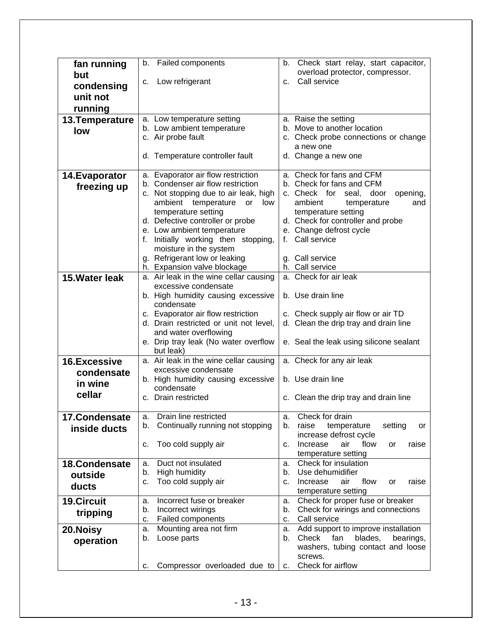| fan running                           | <b>Failed components</b><br>b.         | Check start relay, start capacitor,<br>b.    |  |
|---------------------------------------|----------------------------------------|----------------------------------------------|--|
| but                                   |                                        | overload protector, compressor.              |  |
| condensing                            | Low refrigerant<br>c.                  | Call service<br>c.                           |  |
|                                       |                                        |                                              |  |
| unit not                              |                                        |                                              |  |
| running                               |                                        |                                              |  |
| 13. Temperature                       | a. Low temperature setting             | a. Raise the setting                         |  |
| low                                   | b. Low ambient temperature             | b. Move to another location                  |  |
|                                       | c. Air probe fault                     | c. Check probe connections or change         |  |
|                                       |                                        | a new one                                    |  |
|                                       | d. Temperature controller fault        | d. Change a new one                          |  |
|                                       |                                        |                                              |  |
| 14. Evaporator                        | a. Evaporator air flow restriction     | a. Check for fans and CFM                    |  |
|                                       | b. Condenser air flow restriction      | b. Check for fans and CFM                    |  |
| freezing up                           | c. Not stopping due to air leak, high  | c. Check for seal, door<br>opening,          |  |
|                                       | ambient temperature<br>low<br>or       | ambient<br>temperature<br>and                |  |
|                                       | temperature setting                    | temperature setting                          |  |
|                                       | d. Defective controller or probe       | d. Check for controller and probe            |  |
|                                       | e. Low ambient temperature             | e. Change defrost cycle                      |  |
|                                       | f. Initially working then stopping,    | Call service<br>f.                           |  |
|                                       | moisture in the system                 |                                              |  |
|                                       | g. Refrigerant low or leaking          | g. Call service                              |  |
|                                       | h. Expansion valve blockage            | h. Call service                              |  |
| 15. Water leak                        | a. Air leak in the wine cellar causing | a. Check for air leak                        |  |
|                                       | excessive condensate                   |                                              |  |
|                                       | b. High humidity causing excessive     | b. Use drain line                            |  |
|                                       | condensate                             |                                              |  |
|                                       | c. Evaporator air flow restriction     | c. Check supply air flow or air TD           |  |
|                                       | d. Drain restricted or unit not level, | d. Clean the drip tray and drain line        |  |
|                                       | and water overflowing                  |                                              |  |
|                                       | e. Drip tray leak (No water overflow   | e. Seal the leak using silicone sealant      |  |
|                                       | but leak)                              |                                              |  |
| <b>16.Excessive</b>                   | a. Air leak in the wine cellar causing | a. Check for any air leak                    |  |
| condensate                            | excessive condensate                   |                                              |  |
| in wine                               | b. High humidity causing excessive     | b. Use drain line                            |  |
|                                       | condensate                             |                                              |  |
| cellar                                | c. Drain restricted                    | c. Clean the drip tray and drain line        |  |
|                                       |                                        |                                              |  |
| 17.Condensate                         | Drain line restricted<br>а.            | Check for drain<br>а.                        |  |
| inside ducts                          | Continually running not stopping<br>b. | b.<br>raise<br>temperature<br>setting<br>or  |  |
|                                       |                                        | increase defrost cycle                       |  |
|                                       | Too cold supply air<br>c.              | Increase<br>air<br>flow<br>raise<br>or<br>c. |  |
|                                       |                                        | temperature setting                          |  |
| 18.Condensate                         | Duct not insulated<br>a.               | Check for insulation<br>a.                   |  |
| <b>High humidity</b><br>b.<br>outside |                                        | Use dehumidifier<br>b.                       |  |
| ducts                                 | Too cold supply air<br>c.              | Increase<br>air<br>flow<br>raise<br>c.<br>or |  |
|                                       |                                        | temperature setting                          |  |
| <b>19.Circuit</b>                     | Incorrect fuse or breaker<br>a.        | Check for proper fuse or breaker<br>а.       |  |
| tripping                              | Incorrect wirings<br>b.                | Check for wirings and connections<br>b.      |  |
|                                       | Failed components<br>c.                | Call service<br>c.                           |  |
| 20. Noisy                             | Mounting area not firm<br>a.           | Add support to improve installation<br>a.    |  |
| operation                             | Loose parts<br>b.                      | Check<br>fan<br>blades,<br>bearings,<br>b.   |  |
|                                       |                                        | washers, tubing contact and loose            |  |
|                                       |                                        | screws.                                      |  |
|                                       | Compressor overloaded due to<br>с.     | Check for airflow<br>C.                      |  |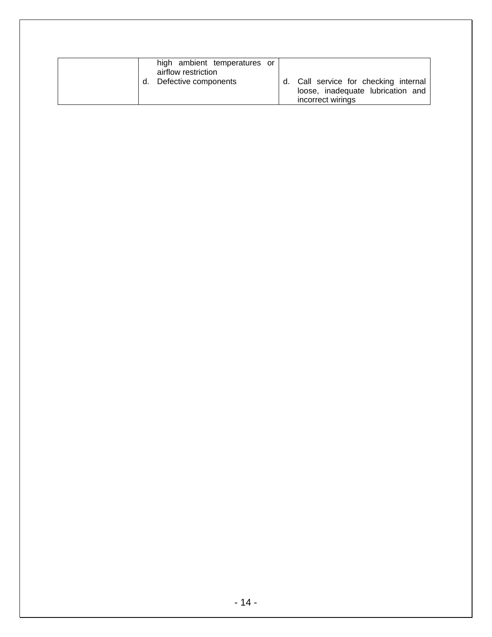| high ambient temperatures or<br>airflow restriction<br>Defective components | d. | Call service for checking internal<br>loose, inadequate lubrication and<br>incorrect wirings |
|-----------------------------------------------------------------------------|----|----------------------------------------------------------------------------------------------|
|-----------------------------------------------------------------------------|----|----------------------------------------------------------------------------------------------|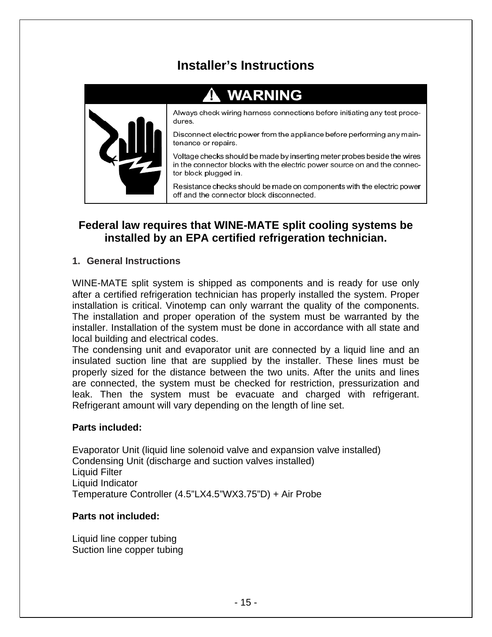# **Installer's Instructions**

# **WARNING**



Always check wiring harness connections before initiating any test procedures.

Disconnect electric power from the appliance before performing any maintenance or repairs.

Voltage checks should be made by inserting meter probes beside the wires in the connector blocks with the electric power source on and the connector block plugged in.

Resistance checks should be made on components with the electric power off and the connector block disconnected.

# **Federal law requires that WINE-MATE split cooling systems be installed by an EPA certified refrigeration technician.**

#### **1. General Instructions**

WINE-MATE split system is shipped as components and is ready for use only after a certified refrigeration technician has properly installed the system. Proper installation is critical. Vinotemp can only warrant the quality of the components. The installation and proper operation of the system must be warranted by the installer. Installation of the system must be done in accordance with all state and local building and electrical codes.

The condensing unit and evaporator unit are connected by a liquid line and an insulated suction line that are supplied by the installer. These lines must be properly sized for the distance between the two units. After the units and lines are connected, the system must be checked for restriction, pressurization and leak. Then the system must be evacuate and charged with refrigerant. Refrigerant amount will vary depending on the length of line set.

#### **Parts included:**

Evaporator Unit (liquid line solenoid valve and expansion valve installed) Condensing Unit (discharge and suction valves installed) Liquid Filter Liquid Indicator Temperature Controller (4.5"LX4.5"WX3.75"D) + Air Probe

#### **Parts not included:**

Liquid line copper tubing Suction line copper tubing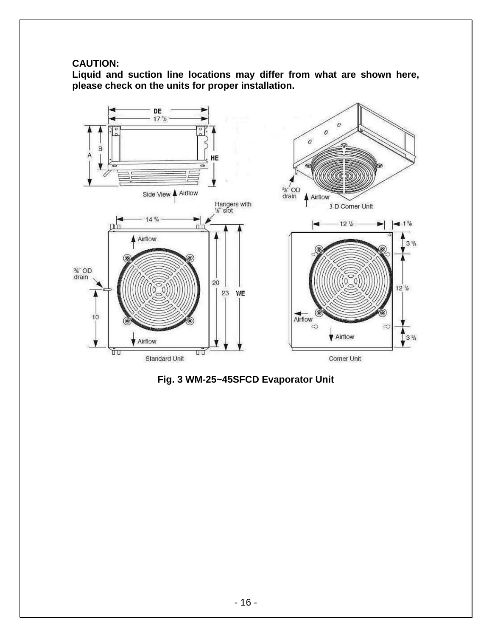# **CAUTION:**

**Liquid and suction line locations may differ from what are shown here, please check on the units for proper installation.** 



**Fig. 3 WM-25~45SFCD Evaporator Unit**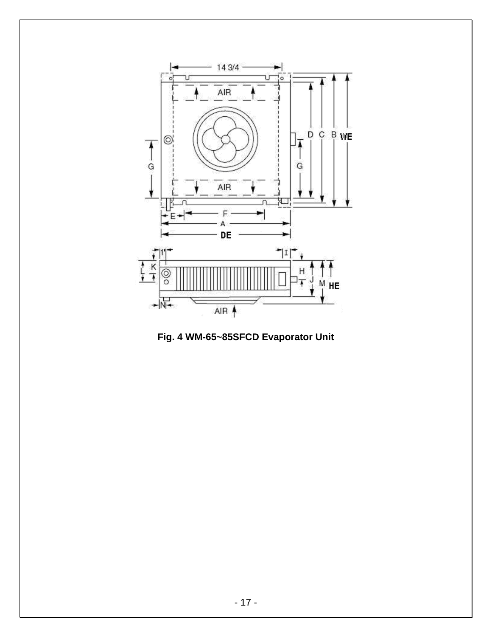

**Fig. 4 WM-65~85SFCD Evaporator Unit**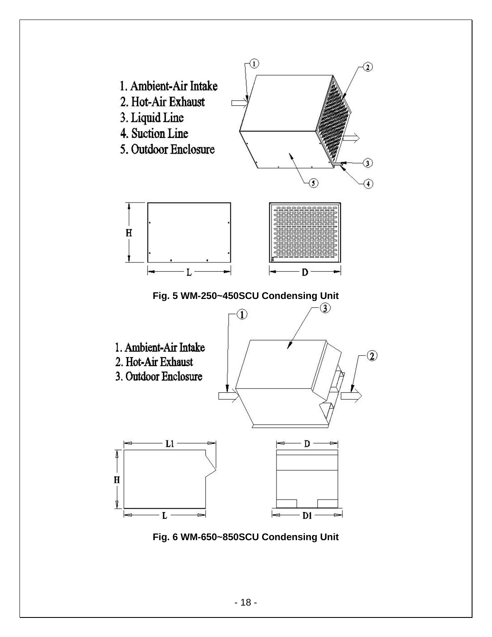

**Fig. 6 WM-650~850SCU Condensing Unit**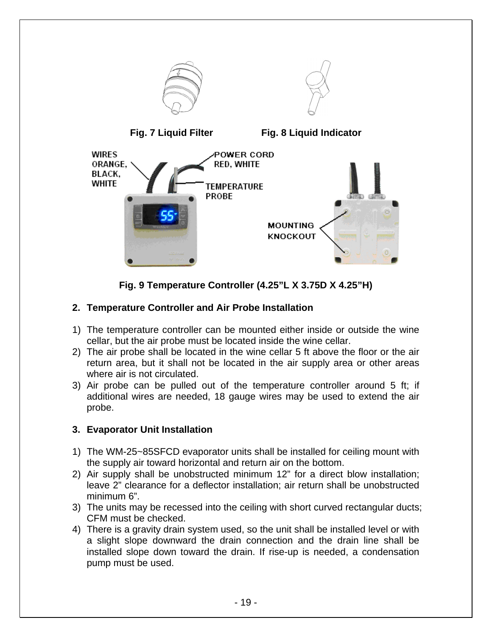

**Fig. 9 Temperature Controller (4.25"L X 3.75D X 4.25"H)**

# **2. Temperature Controller and Air Probe Installation**

- 1) The temperature controller can be mounted either inside or outside the wine cellar, but the air probe must be located inside the wine cellar.
- 2) The air probe shall be located in the wine cellar 5 ft above the floor or the air return area, but it shall not be located in the air supply area or other areas where air is not circulated.
- 3) Air probe can be pulled out of the temperature controller around 5 ft; if additional wires are needed, 18 gauge wires may be used to extend the air probe.

# **3. Evaporator Unit Installation**

- 1) The WM-25~85SFCD evaporator units shall be installed for ceiling mount with the supply air toward horizontal and return air on the bottom.
- 2) Air supply shall be unobstructed minimum 12" for a direct blow installation; leave 2" clearance for a deflector installation; air return shall be unobstructed minimum 6".
- 3) The units may be recessed into the ceiling with short curved rectangular ducts; CFM must be checked.
- 4) There is a gravity drain system used, so the unit shall be installed level or with a slight slope downward the drain connection and the drain line shall be installed slope down toward the drain. If rise-up is needed, a condensation pump must be used.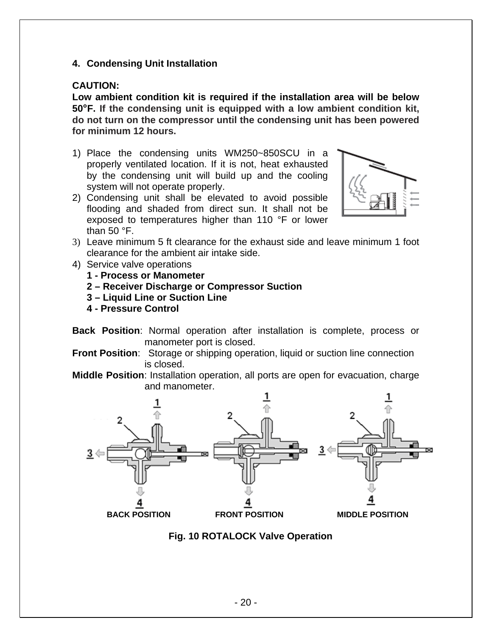#### **4. Condensing Unit Installation**

#### **CAUTION:**

**Low ambient condition kit is required if the installation area will be below 50°F. If the condensing unit is equipped with a low ambient condition kit, do not turn on the compressor until the condensing unit has been powered for minimum 12 hours.** 

- 1) Place the condensing units WM250~850SCU in a properly ventilated location. If it is not, heat exhausted by the condensing unit will build up and the cooling system will not operate properly.
- 2) Condensing unit shall be elevated to avoid possible flooding and shaded from direct sun. It shall not be exposed to temperatures higher than 110 °F or lower than  $50 °F$ .



- 3) Leave minimum 5 ft clearance for the exhaust side and leave minimum 1 foot clearance for the ambient air intake side.
- 4) Service valve operations
	- **1 Process or Manometer**
	- **2 Receiver Discharge or Compressor Suction**
	- **3 Liquid Line or Suction Line**
	- **4 Pressure Control**
- **Back Position**: Normal operation after installation is complete, process or manometer port is closed.
- **Front Position:** Storage or shipping operation, liquid or suction line connection is closed.

**Middle Position**: Installation operation, all ports are open for evacuation, charge and manometer.



**Fig. 10 ROTALOCK Valve Operation**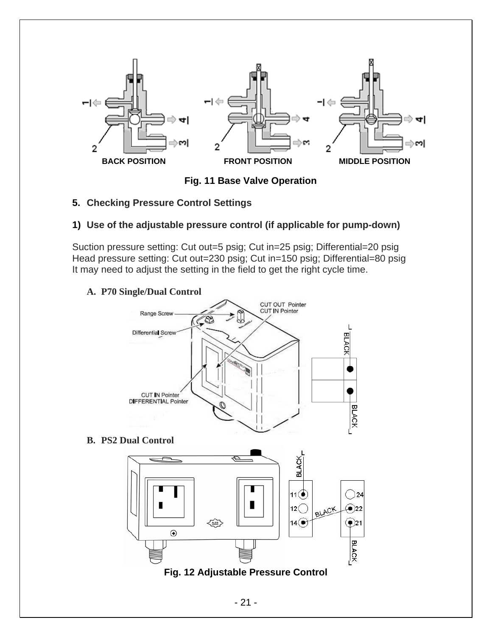

**Fig. 11 Base Valve Operation** 

**5. Checking Pressure Control Settings**

# **1) Use of the adjustable pressure control (if applicable for pump-down)**

Suction pressure setting: Cut out=5 psig; Cut in=25 psig; Differential=20 psig Head pressure setting: Cut out=230 psig; Cut in=150 psig; Differential=80 psig It may need to adjust the setting in the field to get the right cycle time.

## **A. P70 Single/Dual Control**



**B. PS2 Dual Control** 

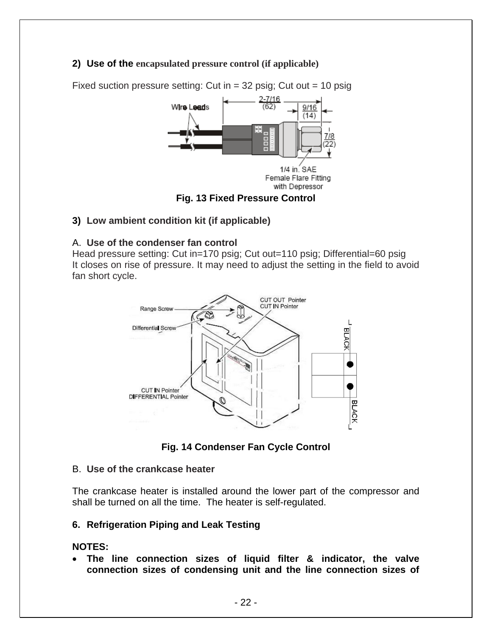### **2) Use of the encapsulated pressure control (if applicable)**



Fixed suction pressure setting: Cut in  $=$  32 psig; Cut out  $=$  10 psig

#### **Fig. 13 Fixed Pressure Control**

#### **3) Low ambient condition kit (if applicable)**

#### A. **Use of the condenser fan control**

Head pressure setting: Cut in=170 psig; Cut out=110 psig; Differential=60 psig It closes on rise of pressure. It may need to adjust the setting in the field to avoid fan short cycle.



**Fig. 14 Condenser Fan Cycle Control** 

#### B. **Use of the crankcase heater**

The crankcase heater is installed around the lower part of the compressor and shall be turned on all the time. The heater is self-regulated.

#### **6. Refrigeration Piping and Leak Testing**

#### **NOTES:**

• **The line connection sizes of liquid filter & indicator, the valve connection sizes of condensing unit and the line connection sizes of**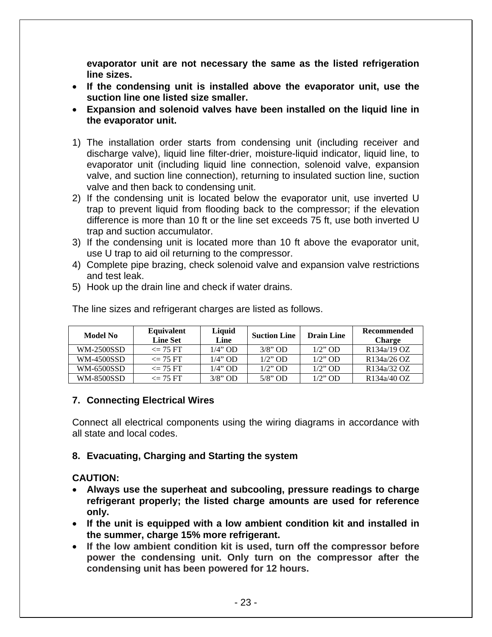**evaporator unit are not necessary the same as the listed refrigeration line sizes.** 

- **If the condensing unit is installed above the evaporator unit, use the suction line one listed size smaller.**
- **Expansion and solenoid valves have been installed on the liquid line in the evaporator unit.**
- 1) The installation order starts from condensing unit (including receiver and discharge valve), liquid line filter-drier, moisture-liquid indicator, liquid line, to evaporator unit (including liquid line connection, solenoid valve, expansion valve, and suction line connection), returning to insulated suction line, suction valve and then back to condensing unit.
- 2) If the condensing unit is located below the evaporator unit, use inverted U trap to prevent liquid from flooding back to the compressor; if the elevation difference is more than 10 ft or the line set exceeds 75 ft, use both inverted U trap and suction accumulator.
- 3) If the condensing unit is located more than 10 ft above the evaporator unit, use U trap to aid oil returning to the compressor.
- 4) Complete pipe brazing, check solenoid valve and expansion valve restrictions and test leak.
- 5) Hook up the drain line and check if water drains.

| Model No          | Equivalent<br><b>Line Set</b> | Liquid<br>Line | <b>Suction Line</b> | <b>Drain Line</b> | <b>Recommended</b><br><b>Charge</b> |
|-------------------|-------------------------------|----------------|---------------------|-------------------|-------------------------------------|
| <b>WM-2500SSD</b> | $\epsilon = 75$ FT            | 1/4" OD        | $3/8$ " OD          | $1/2$ " OD        | R <sub>134a</sub> /19 OZ            |
| WM-4500SSD        | $\epsilon = 75$ FT            | 1/4" OD        | $1/2$ " OD          | $1/2$ " OD        | R <sub>134</sub> a/26 OZ            |
| WM-6500SSD        | $\epsilon = 75$ FT            | 1/4" OD        | $1/2$ " OD          | $1/2$ " OD        | R <sub>134a</sub> /32 OZ            |
| <b>WM-8500SSD</b> | $\epsilon = 75$ FT            | $3/8$ " OD     | $5/8$ " OD          | $1/2$ " OD        | R <sub>134a</sub> /40 OZ            |

The line sizes and refrigerant charges are listed as follows.

### **7. Connecting Electrical Wires**

Connect all electrical components using the wiring diagrams in accordance with all state and local codes.

### **8. Evacuating, Charging and Starting the system**

### **CAUTION:**

- **Always use the superheat and subcooling, pressure readings to charge refrigerant properly; the listed charge amounts are used for reference only.**
- **If the unit is equipped with a low ambient condition kit and installed in the summer, charge 15% more refrigerant.**
- **If the low ambient condition kit is used, turn off the compressor before power the condensing unit. Only turn on the compressor after the condensing unit has been powered for 12 hours.**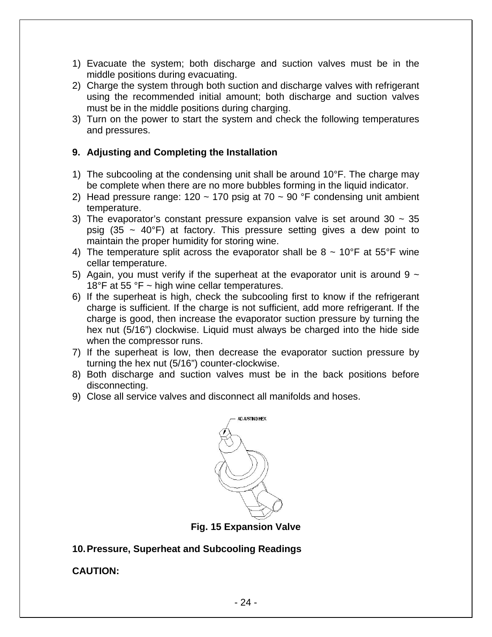- 1) Evacuate the system; both discharge and suction valves must be in the middle positions during evacuating.
- 2) Charge the system through both suction and discharge valves with refrigerant using the recommended initial amount; both discharge and suction valves must be in the middle positions during charging.
- 3) Turn on the power to start the system and check the following temperatures and pressures.

### **9. Adjusting and Completing the Installation**

- 1) The subcooling at the condensing unit shall be around 10°F. The charge may be complete when there are no more bubbles forming in the liquid indicator.
- 2) Head pressure range:  $120 \sim 170$  psig at  $70 \sim 90$  °F condensing unit ambient temperature.
- 3) The evaporator's constant pressure expansion valve is set around 30  $\sim$  35 psig (35  $\sim$  40°F) at factory. This pressure setting gives a dew point to maintain the proper humidity for storing wine.
- 4) The temperature split across the evaporator shall be  $8 \sim 10^{\circ}$ F at 55°F wine cellar temperature.
- 5) Again, you must verify if the superheat at the evaporator unit is around 9  $\sim$ 18°F at 55 °F  $\sim$  high wine cellar temperatures.
- 6) If the superheat is high, check the subcooling first to know if the refrigerant charge is sufficient. If the charge is not sufficient, add more refrigerant. If the charge is good, then increase the evaporator suction pressure by turning the hex nut (5/16") clockwise. Liquid must always be charged into the hide side when the compressor runs.
- 7) If the superheat is low, then decrease the evaporator suction pressure by turning the hex nut (5/16") counter-clockwise.
- 8) Both discharge and suction valves must be in the back positions before disconnecting.
- 9) Close all service valves and disconnect all manifolds and hoses.



**Fig. 15 Expansion Valve** 

**10. Pressure, Superheat and Subcooling Readings** 

**CAUTION:**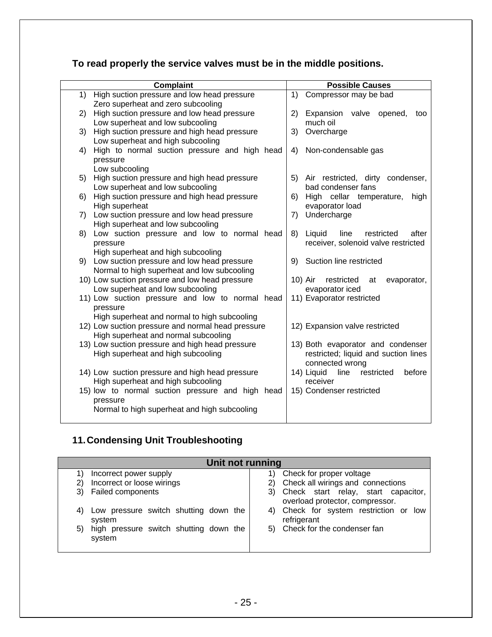# **To read properly the service valves must be in the middle positions.**

|    | <b>Complaint</b>                                                                       |    | <b>Possible Causes</b>                                    |
|----|----------------------------------------------------------------------------------------|----|-----------------------------------------------------------|
| 1) | High suction pressure and low head pressure                                            | 1) | Compressor may be bad                                     |
|    | Zero superheat and zero subcooling                                                     |    |                                                           |
| 2) | High suction pressure and low head pressure                                            | 2) | Expansion valve opened,<br>too                            |
|    | Low superheat and low subcooling                                                       |    | much oil                                                  |
| 3) | High suction pressure and high head pressure                                           | 3) | Overcharge                                                |
|    | Low superheat and high subcooling                                                      |    |                                                           |
| 4) | High to normal suction pressure and high head                                          | 4) | Non-condensable gas                                       |
|    | pressure                                                                               |    |                                                           |
|    | Low subcooling                                                                         |    |                                                           |
| 5) | High suction pressure and high head pressure                                           |    | 5) Air restricted, dirty condenser,<br>bad condenser fans |
|    | Low superheat and low subcooling<br>High suction pressure and high head pressure       |    |                                                           |
| 6) | High superheat                                                                         |    | 6) High cellar temperature,<br>high<br>evaporator load    |
|    | 7) Low suction pressure and low head pressure                                          | 7) | Undercharge                                               |
|    | High superheat and low subcooling                                                      |    |                                                           |
| 8) | Low suction pressure and low to normal head                                            |    | 8) Liquid<br>line<br>restricted<br>after                  |
|    | pressure                                                                               |    | receiver, solenoid valve restricted                       |
|    | High superheat and high subcooling                                                     |    |                                                           |
|    | 9) Low suction pressure and low head pressure                                          |    | 9) Suction line restricted                                |
|    | Normal to high superheat and low subcooling                                            |    |                                                           |
|    | 10) Low suction pressure and low head pressure                                         |    | 10) Air<br>restricted<br>evaporator,<br>at                |
|    | Low superheat and low subcooling                                                       |    | evaporator iced                                           |
|    | 11) Low suction pressure and low to normal head                                        |    | 11) Evaporator restricted                                 |
|    | pressure                                                                               |    |                                                           |
|    | High superheat and normal to high subcooling                                           |    |                                                           |
|    | 12) Low suction pressure and normal head pressure                                      |    | 12) Expansion valve restricted                            |
|    | High superheat and normal subcooling                                                   |    |                                                           |
|    | 13) Low suction pressure and high head pressure                                        |    | 13) Both evaporator and condenser                         |
|    | High superheat and high subcooling                                                     |    | restricted; liquid and suction lines                      |
|    |                                                                                        |    | connected wrong                                           |
|    | 14) Low suction pressure and high head pressure                                        |    | 14) Liquid<br>line<br>restricted<br>before                |
|    | High superheat and high subcooling<br>15) low to normal suction pressure and high head |    | receiver<br>15) Condenser restricted                      |
|    | pressure                                                                               |    |                                                           |
|    | Normal to high superheat and high subcooling                                           |    |                                                           |
|    |                                                                                        |    |                                                           |
|    |                                                                                        |    |                                                           |

# **11. Condensing Unit Troubleshooting**

| Unit not running                                      |                                                          |  |  |  |  |
|-------------------------------------------------------|----------------------------------------------------------|--|--|--|--|
| Incorrect power supply                                | Check for proper voltage                                 |  |  |  |  |
| Incorrect or loose wirings<br>2)                      | Check all wirings and connections<br>2)                  |  |  |  |  |
| <b>Failed components</b><br>3)                        | 3) Check start relay, start capacitor,                   |  |  |  |  |
|                                                       | overload protector, compressor.                          |  |  |  |  |
| Low pressure switch shutting down the<br>4)<br>system | Check for system restriction or low<br>4)<br>refrigerant |  |  |  |  |
| 5) high pressure switch shutting down the<br>system   | 5) Check for the condenser fan                           |  |  |  |  |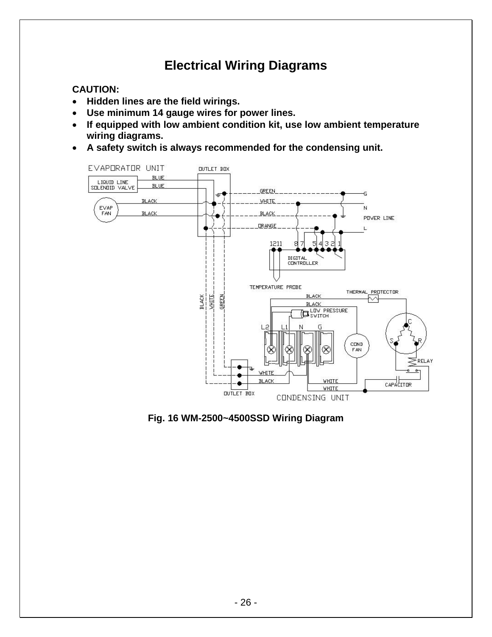# **Electrical Wiring Diagrams**

# **CAUTION:**

- **Hidden lines are the field wirings.**
- **Use minimum 14 gauge wires for power lines.**
- **If equipped with low ambient condition kit, use low ambient temperature wiring diagrams.**
- **A safety switch is always recommended for the condensing unit.**



**Fig. 16 WM-2500~4500SSD Wiring Diagram**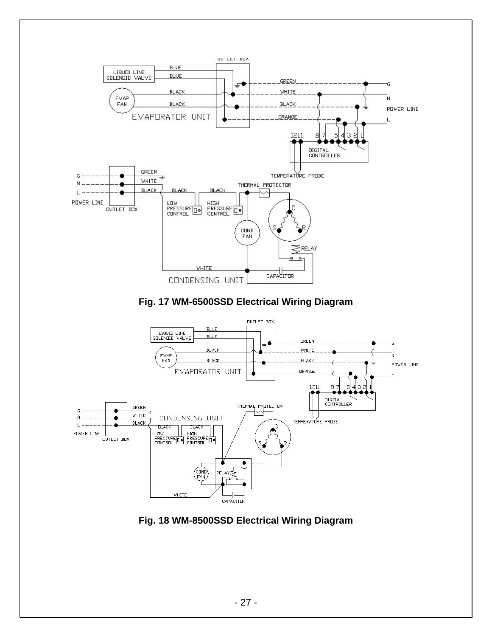





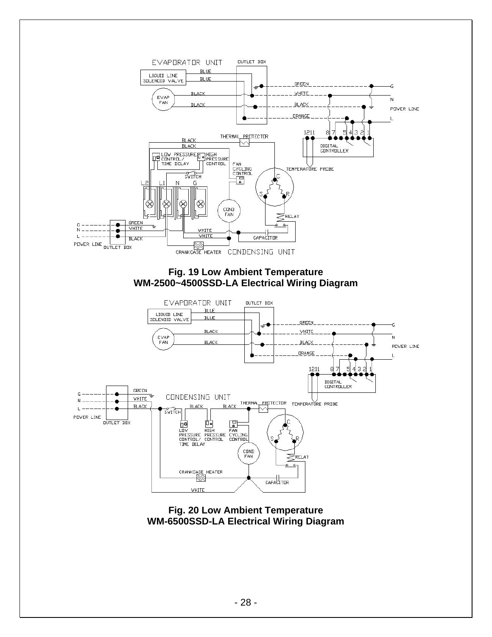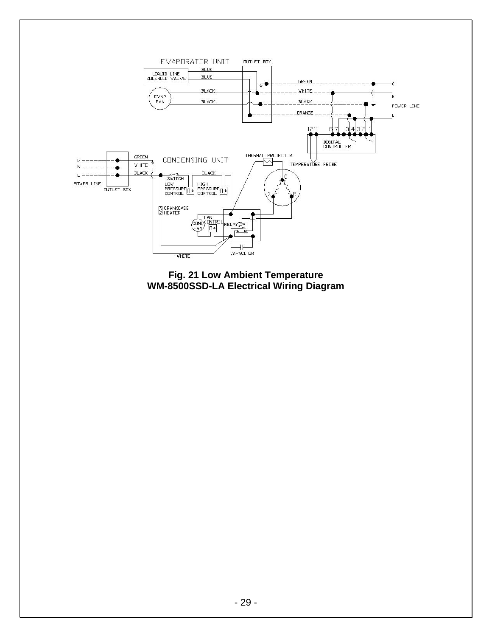

**Fig. 21 Low Ambient Temperature WM-8500SSD-LA Electrical Wiring Diagram**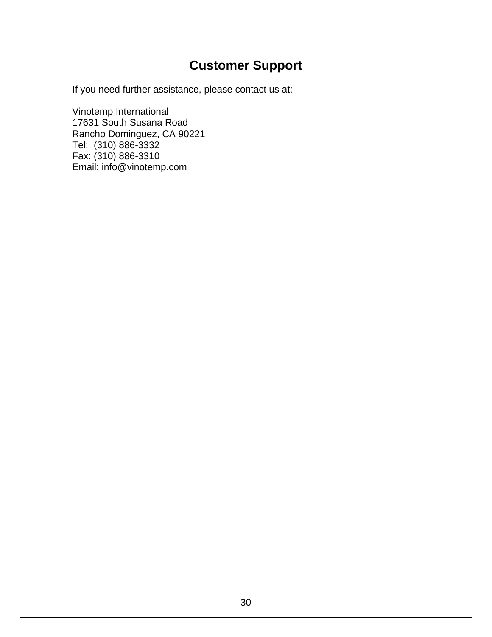# **Customer Support**

If you need further assistance, please contact us at:

Vinotemp International 17631 South Susana Road Rancho Dominguez, CA 90221 Tel: (310) 886-3332 Fax: (310) 886-3310 Email: info@vinotemp.com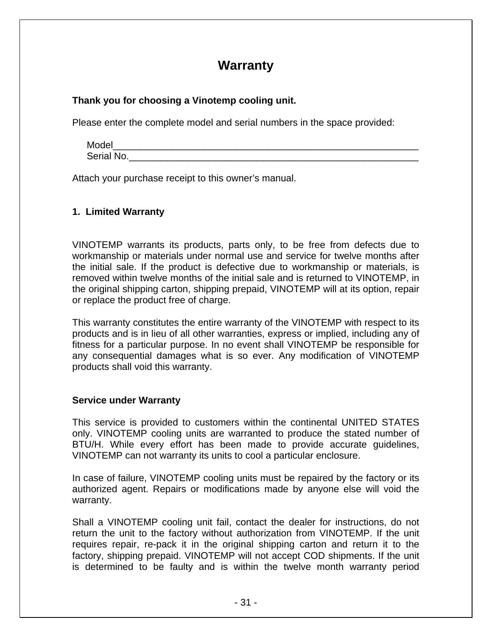# **Warranty**

#### **Thank you for choosing a Vinotemp cooling unit.**

Please enter the complete model and serial numbers in the space provided:

| Model      |  |  |
|------------|--|--|
| Serial No. |  |  |

Attach your purchase receipt to this owner's manual.

#### **1. Limited Warranty**

VINOTEMP warrants its products, parts only, to be free from defects due to workmanship or materials under normal use and service for twelve months after the initial sale. If the product is defective due to workmanship or materials, is removed within twelve months of the initial sale and is returned to VINOTEMP, in the original shipping carton, shipping prepaid, VINOTEMP will at its option, repair or replace the product free of charge.

This warranty constitutes the entire warranty of the VINOTEMP with respect to its products and is in lieu of all other warranties, express or implied, including any of fitness for a particular purpose. In no event shall VINOTEMP be responsible for any consequential damages what is so ever. Any modification of VINOTEMP products shall void this warranty.

#### **Service under Warranty**

This service is provided to customers within the continental UNITED STATES only. VINOTEMP cooling units are warranted to produce the stated number of BTU/H. While every effort has been made to provide accurate guidelines, VINOTEMP can not warranty its units to cool a particular enclosure.

In case of failure, VINOTEMP cooling units must be repaired by the factory or its authorized agent. Repairs or modifications made by anyone else will void the warranty.

Shall a VINOTEMP cooling unit fail, contact the dealer for instructions, do not return the unit to the factory without authorization from VINOTEMP. If the unit requires repair, re-pack it in the original shipping carton and return it to the factory, shipping prepaid. VINOTEMP will not accept COD shipments. If the unit is determined to be faulty and is within the twelve month warranty period